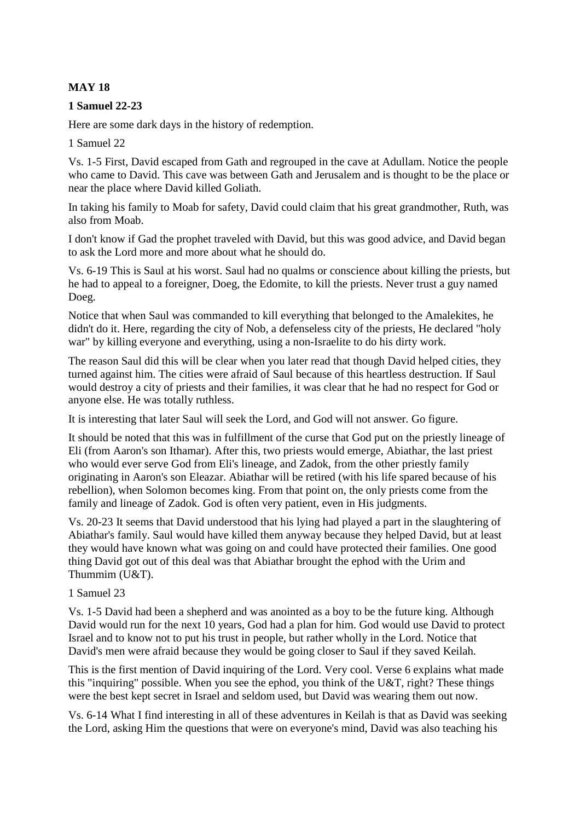# **MAY 18**

### **1 Samuel 22-23**

Here are some dark days in the history of redemption.

1 Samuel 22

Vs. 1-5 First, David escaped from Gath and regrouped in the cave at Adullam. Notice the people who came to David. This cave was between Gath and Jerusalem and is thought to be the place or near the place where David killed Goliath.

In taking his family to Moab for safety, David could claim that his great grandmother, Ruth, was also from Moab.

I don't know if Gad the prophet traveled with David, but this was good advice, and David began to ask the Lord more and more about what he should do.

Vs. 6-19 This is Saul at his worst. Saul had no qualms or conscience about killing the priests, but he had to appeal to a foreigner, Doeg, the Edomite, to kill the priests. Never trust a guy named Doeg.

Notice that when Saul was commanded to kill everything that belonged to the Amalekites, he didn't do it. Here, regarding the city of Nob, a defenseless city of the priests, He declared "holy war" by killing everyone and everything, using a non-Israelite to do his dirty work.

The reason Saul did this will be clear when you later read that though David helped cities, they turned against him. The cities were afraid of Saul because of this heartless destruction. If Saul would destroy a city of priests and their families, it was clear that he had no respect for God or anyone else. He was totally ruthless.

It is interesting that later Saul will seek the Lord, and God will not answer. Go figure.

It should be noted that this was in fulfillment of the curse that God put on the priestly lineage of Eli (from Aaron's son Ithamar). After this, two priests would emerge, Abiathar, the last priest who would ever serve God from Eli's lineage, and Zadok, from the other priestly family originating in Aaron's son Eleazar. Abiathar will be retired (with his life spared because of his rebellion), when Solomon becomes king. From that point on, the only priests come from the family and lineage of Zadok. God is often very patient, even in His judgments.

Vs. 20-23 It seems that David understood that his lying had played a part in the slaughtering of Abiathar's family. Saul would have killed them anyway because they helped David, but at least they would have known what was going on and could have protected their families. One good thing David got out of this deal was that Abiathar brought the ephod with the Urim and Thummim (U&T).

#### 1 Samuel 23

Vs. 1-5 David had been a shepherd and was anointed as a boy to be the future king. Although David would run for the next 10 years, God had a plan for him. God would use David to protect Israel and to know not to put his trust in people, but rather wholly in the Lord. Notice that David's men were afraid because they would be going closer to Saul if they saved Keilah.

This is the first mention of David inquiring of the Lord. Very cool. Verse 6 explains what made this "inquiring" possible. When you see the ephod, you think of the U&T, right? These things were the best kept secret in Israel and seldom used, but David was wearing them out now.

Vs. 6-14 What I find interesting in all of these adventures in Keilah is that as David was seeking the Lord, asking Him the questions that were on everyone's mind, David was also teaching his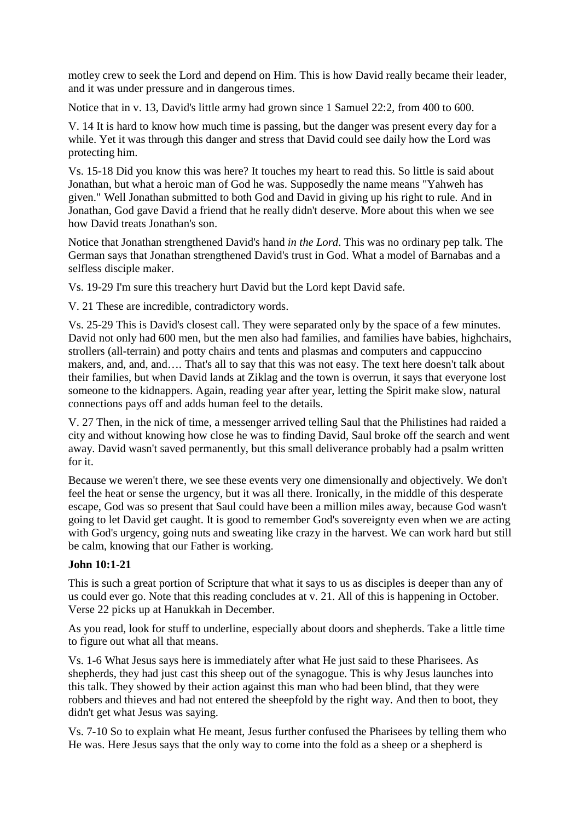motley crew to seek the Lord and depend on Him. This is how David really became their leader, and it was under pressure and in dangerous times.

Notice that in v. 13, David's little army had grown since 1 Samuel 22:2, from 400 to 600.

V. 14 It is hard to know how much time is passing, but the danger was present every day for a while. Yet it was through this danger and stress that David could see daily how the Lord was protecting him.

Vs. 15-18 Did you know this was here? It touches my heart to read this. So little is said about Jonathan, but what a heroic man of God he was. Supposedly the name means "Yahweh has given." Well Jonathan submitted to both God and David in giving up his right to rule. And in Jonathan, God gave David a friend that he really didn't deserve. More about this when we see how David treats Jonathan's son.

Notice that Jonathan strengthened David's hand *in the Lord*. This was no ordinary pep talk. The German says that Jonathan strengthened David's trust in God. What a model of Barnabas and a selfless disciple maker.

Vs. 19-29 I'm sure this treachery hurt David but the Lord kept David safe.

V. 21 These are incredible, contradictory words.

Vs. 25-29 This is David's closest call. They were separated only by the space of a few minutes. David not only had 600 men, but the men also had families, and families have babies, highchairs, strollers (all-terrain) and potty chairs and tents and plasmas and computers and cappuccino makers, and, and, and…. That's all to say that this was not easy. The text here doesn't talk about their families, but when David lands at Ziklag and the town is overrun, it says that everyone lost someone to the kidnappers. Again, reading year after year, letting the Spirit make slow, natural connections pays off and adds human feel to the details.

V. 27 Then, in the nick of time, a messenger arrived telling Saul that the Philistines had raided a city and without knowing how close he was to finding David, Saul broke off the search and went away. David wasn't saved permanently, but this small deliverance probably had a psalm written for it.

Because we weren't there, we see these events very one dimensionally and objectively. We don't feel the heat or sense the urgency, but it was all there. Ironically, in the middle of this desperate escape, God was so present that Saul could have been a million miles away, because God wasn't going to let David get caught. It is good to remember God's sovereignty even when we are acting with God's urgency, going nuts and sweating like crazy in the harvest. We can work hard but still be calm, knowing that our Father is working.

# **John 10:1-21**

This is such a great portion of Scripture that what it says to us as disciples is deeper than any of us could ever go. Note that this reading concludes at v. 21. All of this is happening in October. Verse 22 picks up at Hanukkah in December.

As you read, look for stuff to underline, especially about doors and shepherds. Take a little time to figure out what all that means.

Vs. 1-6 What Jesus says here is immediately after what He just said to these Pharisees. As shepherds, they had just cast this sheep out of the synagogue. This is why Jesus launches into this talk. They showed by their action against this man who had been blind, that they were robbers and thieves and had not entered the sheepfold by the right way. And then to boot, they didn't get what Jesus was saying.

Vs. 7-10 So to explain what He meant, Jesus further confused the Pharisees by telling them who He was. Here Jesus says that the only way to come into the fold as a sheep or a shepherd is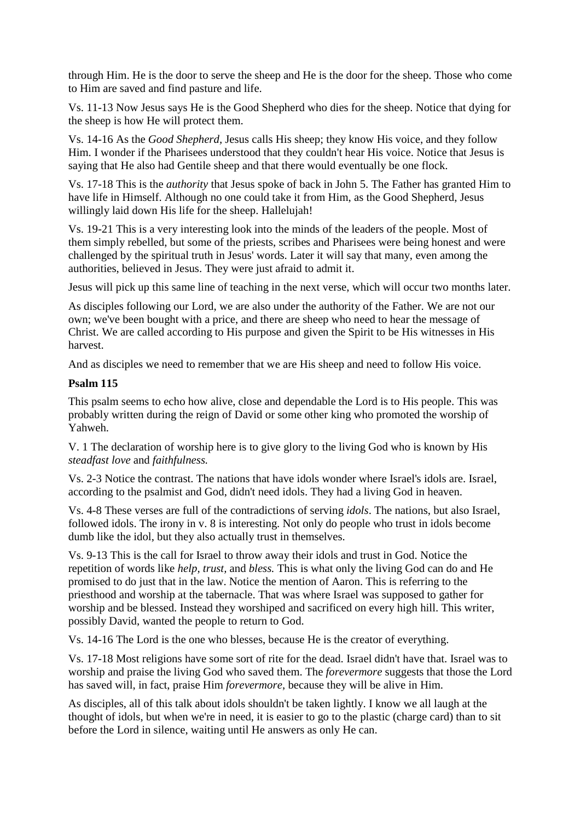through Him. He is the door to serve the sheep and He is the door for the sheep. Those who come to Him are saved and find pasture and life.

Vs. 11-13 Now Jesus says He is the Good Shepherd who dies for the sheep. Notice that dying for the sheep is how He will protect them.

Vs. 14-16 As the *Good Shepherd,* Jesus calls His sheep; they know His voice, and they follow Him. I wonder if the Pharisees understood that they couldn't hear His voice. Notice that Jesus is saying that He also had Gentile sheep and that there would eventually be one flock.

Vs. 17-18 This is the *authority* that Jesus spoke of back in John 5. The Father has granted Him to have life in Himself. Although no one could take it from Him, as the Good Shepherd, Jesus willingly laid down His life for the sheep. Hallelujah!

Vs. 19-21 This is a very interesting look into the minds of the leaders of the people. Most of them simply rebelled, but some of the priests, scribes and Pharisees were being honest and were challenged by the spiritual truth in Jesus' words. Later it will say that many, even among the authorities, believed in Jesus. They were just afraid to admit it.

Jesus will pick up this same line of teaching in the next verse, which will occur two months later.

As disciples following our Lord, we are also under the authority of the Father. We are not our own; we've been bought with a price, and there are sheep who need to hear the message of Christ. We are called according to His purpose and given the Spirit to be His witnesses in His harvest.

And as disciples we need to remember that we are His sheep and need to follow His voice.

#### **Psalm 115**

This psalm seems to echo how alive, close and dependable the Lord is to His people. This was probably written during the reign of David or some other king who promoted the worship of Yahweh.

V. 1 The declaration of worship here is to give glory to the living God who is known by His *steadfast love* and *faithfulness.*

Vs. 2-3 Notice the contrast. The nations that have idols wonder where Israel's idols are. Israel, according to the psalmist and God, didn't need idols. They had a living God in heaven.

Vs. 4-8 These verses are full of the contradictions of serving *idols*. The nations, but also Israel, followed idols. The irony in v. 8 is interesting. Not only do people who trust in idols become dumb like the idol, but they also actually trust in themselves.

Vs. 9-13 This is the call for Israel to throw away their idols and trust in God. Notice the repetition of words like *help, trust,* and *bless.* This is what only the living God can do and He promised to do just that in the law. Notice the mention of Aaron. This is referring to the priesthood and worship at the tabernacle. That was where Israel was supposed to gather for worship and be blessed. Instead they worshiped and sacrificed on every high hill. This writer, possibly David, wanted the people to return to God.

Vs. 14-16 The Lord is the one who blesses, because He is the creator of everything.

Vs. 17-18 Most religions have some sort of rite for the dead. Israel didn't have that. Israel was to worship and praise the living God who saved them. The *forevermore* suggests that those the Lord has saved will, in fact, praise Him *forevermore*, because they will be alive in Him.

As disciples, all of this talk about idols shouldn't be taken lightly. I know we all laugh at the thought of idols, but when we're in need, it is easier to go to the plastic (charge card) than to sit before the Lord in silence, waiting until He answers as only He can.